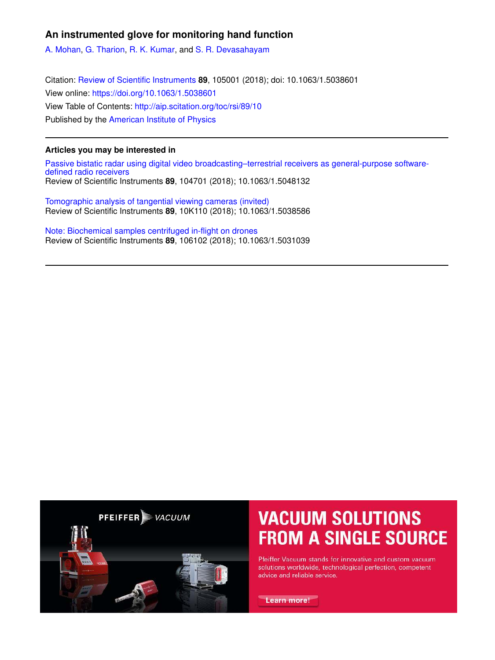### **An instrumented glove for monitoring hand function**

A. Mohan, G. Tharion, R. K. Kumar, and S. R. Devasahayam

Citation: Review of Scientific Instruments **89**, 105001 (2018); doi: 10.1063/1.5038601 View online: https://doi.org/10.1063/1.5038601 View Table of Contents: http://aip.scitation.org/toc/rsi/89/10 Published by the American Institute of Physics

#### **Articles you may be interested in**

Passive bistatic radar using digital video broadcasting–terrestrial receivers as general-purpose softwaredefined radio receivers Review of Scientific Instruments **89**, 104701 (2018); 10.1063/1.5048132

Tomographic analysis of tangential viewing cameras (invited) Review of Scientific Instruments **89**, 10K110 (2018); 10.1063/1.5038586

Note: Biochemical samples centrifuged in-flight on drones Review of Scientific Instruments **89**, 106102 (2018); 10.1063/1.5031039



# **VACUUM SOLUTIONS FROM A SINGLE SOURCE**

Pfeiffer Vacuum stands for innovative and custom vacuum solutions worldwide, technological perfection, competent advice and reliable service.

Learn more!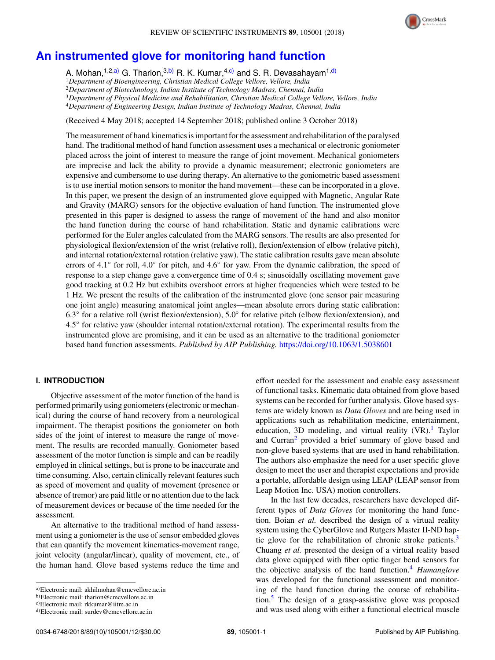## **An instrumented glove for monitoring hand function**

A. Mohan,<sup>1,2,a)</sup> G. Tharion,<sup>3,b)</sup> R. K. Kumar,<sup>4,c)</sup> and S. R. Devasahayam<sup>1,d)</sup>

<sup>1</sup>*Department of Bioengineering, Christian Medical College Vellore, Vellore, India*

<sup>2</sup>*Department of Biotechnology, Indian Institute of Technology Madras, Chennai, India*

<sup>3</sup>*Department of Physical Medicine and Rehabilitation, Christian Medical College Vellore, Vellore, India*

<sup>4</sup>*Department of Engineering Design, Indian Institute of Technology Madras, Chennai, India*

(Received 4 May 2018; accepted 14 September 2018; published online 3 October 2018)

The measurement of hand kinematics is important for the assessment and rehabilitation of the paralysed hand. The traditional method of hand function assessment uses a mechanical or electronic goniometer placed across the joint of interest to measure the range of joint movement. Mechanical goniometers are imprecise and lack the ability to provide a dynamic measurement; electronic goniometers are expensive and cumbersome to use during therapy. An alternative to the goniometric based assessment is to use inertial motion sensors to monitor the hand movement—these can be incorporated in a glove. In this paper, we present the design of an instrumented glove equipped with Magnetic, Angular Rate and Gravity (MARG) sensors for the objective evaluation of hand function. The instrumented glove presented in this paper is designed to assess the range of movement of the hand and also monitor the hand function during the course of hand rehabilitation. Static and dynamic calibrations were performed for the Euler angles calculated from the MARG sensors. The results are also presented for physiological flexion/extension of the wrist (relative roll), flexion/extension of elbow (relative pitch), and internal rotation/external rotation (relative yaw). The static calibration results gave mean absolute errors of 4.1<sup>°</sup> for roll, 4.0<sup>°</sup> for pitch, and 4.6<sup>°</sup> for yaw. From the dynamic calibration, the speed of response to a step change gave a convergence time of 0.4 s; sinusoidally oscillating movement gave good tracking at 0.2 Hz but exhibits overshoot errors at higher frequencies which were tested to be 1 Hz. We present the results of the calibration of the instrumented glove (one sensor pair measuring one joint angle) measuring anatomical joint angles—mean absolute errors during static calibration: 6.3◦ for a relative roll (wrist flexion/extension), 5.0◦ for relative pitch (elbow flexion/extension), and 4.5° for relative yaw (shoulder internal rotation/external rotation). The experimental results from the instrumented glove are promising, and it can be used as an alternative to the traditional goniometer based hand function assessments. *Published by AIP Publishing.* https://doi.org/10.1063/1.5038601

#### **I. INTRODUCTION**

Objective assessment of the motor function of the hand is performed primarily using goniometers (electronic or mechanical) during the course of hand recovery from a neurological impairment. The therapist positions the goniometer on both sides of the joint of interest to measure the range of movement. The results are recorded manually. Goniometer based assessment of the motor function is simple and can be readily employed in clinical settings, but is prone to be inaccurate and time consuming. Also, certain clinically relevant features such as speed of movement and quality of movement (presence or absence of tremor) are paid little or no attention due to the lack of measurement devices or because of the time needed for the assessment.

An alternative to the traditional method of hand assessment using a goniometer is the use of sensor embedded gloves that can quantify the movement kinematics-movement range, joint velocity (angular/linear), quality of movement, etc., of the human hand. Glove based systems reduce the time and

effort needed for the assessment and enable easy assessment of functional tasks. Kinematic data obtained from glove based systems can be recorded for further analysis. Glove based systems are widely known as *Data Gloves* and are being used in applications such as rehabilitation medicine, entertainment, education, 3D modeling, and virtual reality  $(VR)$ .<sup>1</sup> Taylor and Curran<sup>2</sup> provided a brief summary of glove based and non-glove based systems that are used in hand rehabilitation. The authors also emphasize the need for a user specific glove design to meet the user and therapist expectations and provide a portable, affordable design using LEAP (LEAP sensor from Leap Motion Inc. USA) motion controllers.

In the last few decades, researchers have developed different types of *Data Gloves* for monitoring the hand function. Boian *et al.* described the design of a virtual reality system using the CyberGlove and Rutgers Master II-ND haptic glove for the rehabilitation of chronic stroke patients.<sup>3</sup> Chuang *et al.* presented the design of a virtual reality based data glove equipped with fiber optic finger bend sensors for the objective analysis of the hand function.<sup>4</sup> *Humanglove* was developed for the functional assessment and monitoring of the hand function during the course of rehabilitation.<sup>5</sup> The design of a grasp-assistive glove was proposed and was used along with either a functional electrical muscle

a)Electronic mail: akhilmohan@cmcvellore.ac.in

b)Electronic mail: tharion@cmcvellore.ac.in

c)Electronic mail: rkkumar@iitm.ac.in

d)Electronic mail: surdev@cmcvellore.ac.in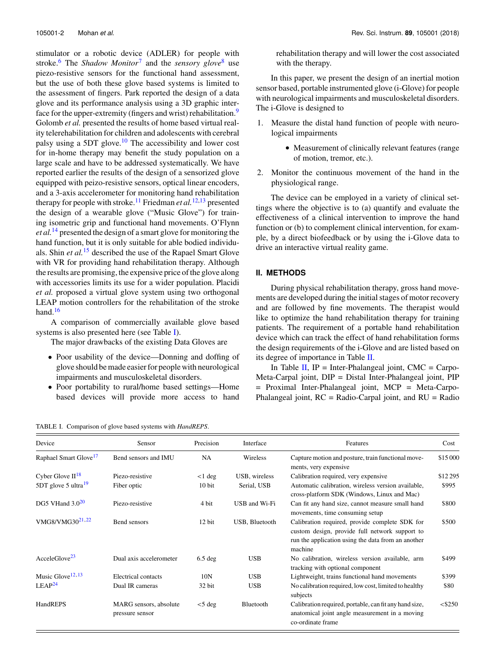stimulator or a robotic device (ADLER) for people with stroke.<sup>6</sup> The *Shadow Monitor*<sup>7</sup> and the *sensory glove*<sup>8</sup> use piezo-resistive sensors for the functional hand assessment, but the use of both these glove based systems is limited to the assessment of fingers. Park reported the design of a data glove and its performance analysis using a 3D graphic interface for the upper-extremity (fingers and wrist) rehabilitation.<sup>9</sup> Golomb *et al.* presented the results of home based virtual reality telerehabilitation for children and adolescents with cerebral palsy using a 5DT glove.<sup>10</sup> The accessibility and lower cost for in-home therapy may benefit the study population on a large scale and have to be addressed systematically. We have reported earlier the results of the design of a sensorized glove equipped with peizo-resistive sensors, optical linear encoders, and a 3-axis accelerometer for monitoring hand rehabilitation therapy for people with stroke.<sup>11</sup> Friedman *et al.*<sup>12,13</sup> presented the design of a wearable glove ("Music Glove") for training isometric grip and functional hand movements. O'Flynn *et al.*<sup>14</sup> presented the design of a smart glove for monitoring the hand function, but it is only suitable for able bodied individuals. Shin *et al.*<sup>15</sup> described the use of the Rapael Smart Glove with VR for providing hand rehabilitation therapy. Although the results are promising, the expensive price of the glove along with accessories limits its use for a wider population. Placidi *et al.* proposed a virtual glove system using two orthogonal LEAP motion controllers for the rehabilitation of the stroke hand.<sup>16</sup>

A comparison of commercially available glove based systems is also presented here (see Table I).

The major drawbacks of the existing Data Gloves are

- Poor usability of the device—Donning and doffing of glove should be made easier for people with neurological impairments and musculoskeletal disorders.
- Poor portability to rural/home based settings—Home based devices will provide more access to hand

105001-2 Mohan *et al.* Rev. Sci. Instrum. **89**, 105001 (2018)

rehabilitation therapy and will lower the cost associated with the therapy.

In this paper, we present the design of an inertial motion sensor based, portable instrumented glove (i-Glove) for people with neurological impairments and musculoskeletal disorders. The i-Glove is designed to

- 1. Measure the distal hand function of people with neurological impairments
	- Measurement of clinically relevant features (range of motion, tremor, etc.).
- 2. Monitor the continuous movement of the hand in the physiological range.

The device can be employed in a variety of clinical settings where the objective is to (a) quantify and evaluate the effectiveness of a clinical intervention to improve the hand function or (b) to complement clinical intervention, for example, by a direct biofeedback or by using the i-Glove data to drive an interactive virtual reality game.

#### **II. METHODS**

During physical rehabilitation therapy, gross hand movements are developed during the initial stages of motor recovery and are followed by fine movements. The therapist would like to optimize the hand rehabilitation therapy for training patients. The requirement of a portable hand rehabilitation device which can track the effect of hand rehabilitation forms the design requirements of the i-Glove and are listed based on its degree of importance in Table  $II$ .

In Table  $II$ , IP = Inter-Phalangeal joint, CMC = Carpo-Meta-Carpal joint, DIP = Distal Inter-Phalangeal joint, PIP = Proximal Inter-Phalangeal joint, MCP = Meta-Carpo-Phalangeal joint,  $RC = Radio-Carpal joint$ , and  $RU = Radio$ 

TABLE I. Comparison of glove based systems with *HandREPS*.

| Device                            | Sensor                                    | Precision | Interface      | Features                                                                                                                                                          | Cost      |
|-----------------------------------|-------------------------------------------|-----------|----------------|-------------------------------------------------------------------------------------------------------------------------------------------------------------------|-----------|
| Raphael Smart Glove <sup>17</sup> | Bend sensors and IMU                      | <b>NA</b> | Wireless       | Capture motion and posture, train functional move-<br>ments, very expensive                                                                                       | \$15 000  |
| Cyber Glove $II^{18}$             | Piezo-resistive                           | $<$ 1 deg | USB, wireless  | Calibration required, very expensive                                                                                                                              | \$12295   |
| 5DT glove 5 ultra $19$            | Fiber optic                               | $10$ bit  | Serial, USB    | Automatic calibration, wireless version available,<br>cross-platform SDK (Windows, Linux and Mac)                                                                 | \$995     |
| DG5 VHand $3.0^{20}$              | Piezo-resistive                           | 4 bit     | USB and Wi-Fi  | Can fit any hand size, cannot measure small hand<br>movements, time consuming setup                                                                               | \$800     |
| VMG8/VMG30 <sup>21,22</sup>       | Bend sensors                              | $12$ bit  | USB, Bluetooth | Calibration required, provide complete SDK for<br>custom design, provide full network support to<br>run the application using the data from an another<br>machine | \$500     |
| AcceptGlove <sup>23</sup>         | Dual axis accelerometer                   | $6.5$ deg | <b>USB</b>     | No calibration, wireless version available, arm<br>tracking with optional component                                                                               | \$499     |
| Music Glove <sup>12,13</sup>      | Electrical contacts                       | 10N       | <b>USB</b>     | Lightweight, trains functional hand movements                                                                                                                     | \$399     |
| LEAP <sup>24</sup>                | Dual IR cameras                           | 32 bit    | <b>USB</b>     | No calibration required, low cost, limited to healthy<br>subjects                                                                                                 | \$80      |
| HandREPS                          | MARG sensors, absolute<br>pressure sensor | $<$ 5 deg | Bluetooth      | Calibration required, portable, can fit any hand size,<br>anatomical joint angle measurement in a moving<br>co-ordinate frame                                     | $<$ \$250 |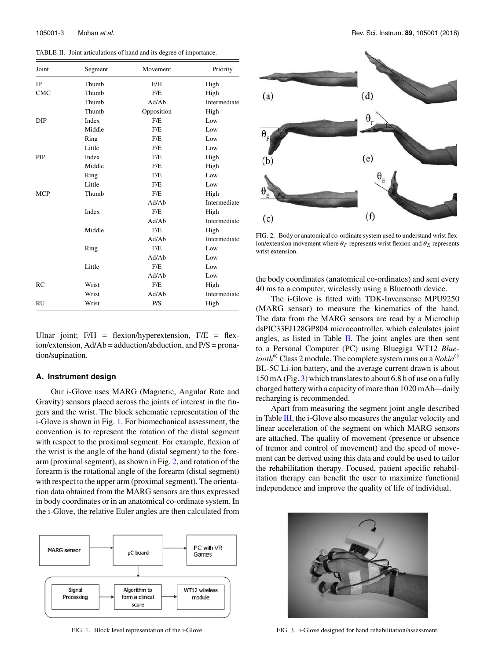TABLE II. Joint articulations of hand and its degree of importance.

| Joint      | Segment | Movement   | Priority     |
|------------|---------|------------|--------------|
| IP         | Thumb   | F/H        | High         |
| <b>CMC</b> | Thumb   | F/E        | High         |
|            | Thumb   | Ad/Ab      | Intermediate |
|            | Thumb   | Opposition | High         |
| DIP        | Index   | F/E        | Low          |
|            | Middle  | F/E        | Low          |
|            | Ring    | F/E        | Low          |
|            | Little  | F/E        | Low          |
| <b>PIP</b> | Index   | F/E        | High         |
|            | Middle  | F/E        | High         |
|            | Ring    | F/E        | Low          |
|            | Little  | F/E        | Low          |
| <b>MCP</b> | Thumb   | F/E        | High         |
|            |         | Ad/Ab      | Intermediate |
|            | Index   | F/E        | High         |
|            |         | Ad/Ab      | Intermediate |
|            | Middle  | F/E        | High         |
|            |         | Ad/Ab      | Intermediate |
|            | Ring    | F/E        | Low          |
|            |         | Ad/Ab      | Low          |
|            | Little  | F/E        | Low          |
|            |         | Ad/Ab      | Low          |
| RC         | Wrist   | F/E        | High         |
|            | Wrist   | Ad/Ab      | Intermediate |
| RU         | Wrist   | P/S        | High         |

Ulnar joint;  $F/H =$  flexion/hyperextension,  $F/E =$  flexion/extension, Ad/Ab = adduction/abduction, and P/S = pronation/supination.

#### **A. Instrument design**

Our i-Glove uses MARG (Magnetic, Angular Rate and Gravity) sensors placed across the joints of interest in the fingers and the wrist. The block schematic representation of the i-Glove is shown in Fig. 1. For biomechanical assessment, the convention is to represent the rotation of the distal segment with respect to the proximal segment. For example, flexion of the wrist is the angle of the hand (distal segment) to the forearm (proximal segment), as shown in Fig. 2, and rotation of the forearm is the rotational angle of the forearm (distal segment) with respect to the upper arm (proximal segment). The orientation data obtained from the MARG sensors are thus expressed in body coordinates or in an anatomical co-ordinate system. In the i-Glove, the relative Euler angles are then calculated from



FIG. 1. Block level representation of the i-Glove.



FIG. 2. Body or anatomical co-ordinate system used to understand wrist flexion/extension movement where  $\theta_F$  represents wrist flexion and  $\theta_E$  represents wrist extension.

the body coordinates (anatomical co-ordinates) and sent every 40 ms to a computer, wirelessly using a Bluetooth device.

The i-Glove is fitted with TDK-Invensense MPU9250 (MARG sensor) to measure the kinematics of the hand. The data from the MARG sensors are read by a Microchip dsPIC33FJ128GP804 microcontroller, which calculates joint angles, as listed in Table II. The joint angles are then sent to a Personal Computer (PC) using Bluegiga WT12 *Bluetooth*➤ Class 2 module. The complete system runs on a *Nokia*➤ BL-5C Li-ion battery, and the average current drawn is about 150 mA (Fig. 3) which translates to about 6.8 h of use on a fully charged battery with a capacity of more than 1020 mAh—daily recharging is recommended.

Apart from measuring the segment joint angle described in Table III, the i-Glove also measures the angular velocity and linear acceleration of the segment on which MARG sensors are attached. The quality of movement (presence or absence of tremor and control of movement) and the speed of movement can be derived using this data and could be used to tailor the rehabilitation therapy. Focused, patient specific rehabilitation therapy can benefit the user to maximize functional independence and improve the quality of life of individual.



FIG. 3. i-Glove designed for hand rehabilitation/assessment.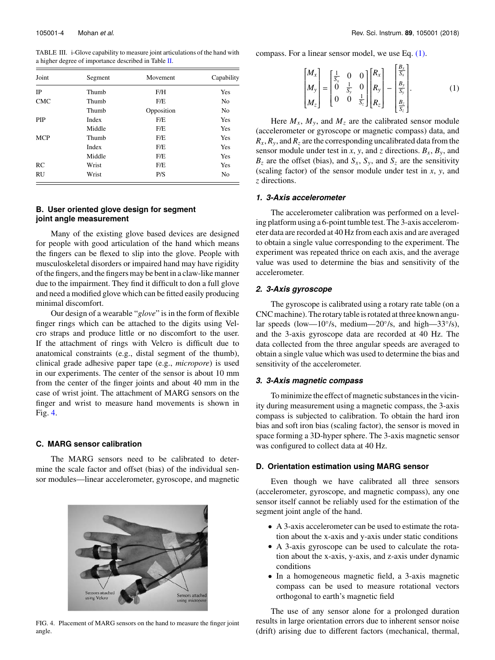TABLE III. i-Glove capability to measure joint articulations of the hand with a higher degree of importance described in Table II.

| Joint      | Segment | Movement   | Capability |  |
|------------|---------|------------|------------|--|
| IP         | Thumb   | F/H        | Yes        |  |
| <b>CMC</b> | Thumb   | F/E        | No         |  |
|            | Thumb   | Opposition | No         |  |
| <b>PIP</b> | Index   | F/E        | Yes        |  |
|            | Middle  | F/E        | Yes        |  |
| <b>MCP</b> | Thumb   | F/E        | Yes        |  |
|            | Index   | F/E        | Yes        |  |
|            | Middle  | F/E        | Yes        |  |
| RC         | Wrist   | F/E        | Yes        |  |
| RU         | Wrist   | P/S        | No         |  |

#### **B. User oriented glove design for segment joint angle measurement**

Many of the existing glove based devices are designed for people with good articulation of the hand which means the fingers can be flexed to slip into the glove. People with musculoskeletal disorders or impaired hand may have rigidity of the fingers, and the fingers may be bent in a claw-like manner due to the impairment. They find it difficult to don a full glove and need a modified glove which can be fitted easily producing minimal discomfort.

Our design of a wearable "*glove*" is in the form of flexible finger rings which can be attached to the digits using Velcro straps and produce little or no discomfort to the user. If the attachment of rings with Velcro is difficult due to anatomical constraints (e.g., distal segment of the thumb), clinical grade adhesive paper tape (e.g., *micropore*) is used in our experiments. The center of the sensor is about 10 mm from the center of the finger joints and about 40 mm in the case of wrist joint. The attachment of MARG sensors on the finger and wrist to measure hand movements is shown in Fig. 4.

#### **C. MARG sensor calibration**

The MARG sensors need to be calibrated to determine the scale factor and offset (bias) of the individual sensor modules—linear accelerometer, gyroscope, and magnetic



FIG. 4. Placement of MARG sensors on the hand to measure the finger joint angle.

compass. For a linear sensor model, we use Eq. (1).

$$
\begin{bmatrix} M_x \\ M_y \\ M_z \end{bmatrix} = \begin{bmatrix} \frac{1}{S_x} & 0 & 0 \\ 0 & \frac{1}{S_y} & 0 \\ 0 & 0 & \frac{1}{S_z} \end{bmatrix} \begin{bmatrix} R_x \\ R_y \\ R_z \end{bmatrix} - \begin{bmatrix} \frac{B_x}{S_x} \\ \frac{B_y}{S_y} \\ \frac{B_z}{S_z} \end{bmatrix} . \tag{1}
$$

Here  $M_x$ ,  $M_y$ , and  $M_z$  are the calibrated sensor module (accelerometer or gyroscope or magnetic compass) data, and  $R_x$ ,  $R_y$ , and  $R_z$  are the corresponding uncalibrated data from the sensor module under test in *x*, *y*, and *z* directions.  $B_x$ ,  $B_y$ , and  $B_z$  are the offset (bias), and  $S_x$ ,  $S_y$ , and  $S_z$  are the sensitivity (scaling factor) of the sensor module under test in *x*, *y*, and *z* directions.

#### *1. 3-Axis accelerometer*

The accelerometer calibration was performed on a leveling platform using a 6-point tumble test. The 3-axis accelerometer data are recorded at 40 Hz from each axis and are averaged to obtain a single value corresponding to the experiment. The experiment was repeated thrice on each axis, and the average value was used to determine the bias and sensitivity of the accelerometer.

#### *2. 3-Axis gyroscope*

The gyroscope is calibrated using a rotary rate table (on a CNC machine). The rotary table is rotated at three known angular speeds (low— $10^{\circ}/s$ , medium— $20^{\circ}/s$ , and high— $33^{\circ}/s$ ), and the 3-axis gyroscope data are recorded at 40 Hz. The data collected from the three angular speeds are averaged to obtain a single value which was used to determine the bias and sensitivity of the accelerometer.

#### *3. 3-Axis magnetic compass*

To minimize the effect of magnetic substances in the vicinity during measurement using a magnetic compass, the 3-axis compass is subjected to calibration. To obtain the hard iron bias and soft iron bias (scaling factor), the sensor is moved in space forming a 3D-hyper sphere. The 3-axis magnetic sensor was configured to collect data at 40 Hz.

#### **D. Orientation estimation using MARG sensor**

Even though we have calibrated all three sensors (accelerometer, gyroscope, and magnetic compass), any one sensor itself cannot be reliably used for the estimation of the segment joint angle of the hand.

- A 3-axis accelerometer can be used to estimate the rotation about the x-axis and y-axis under static conditions
- A 3-axis gyroscope can be used to calculate the rotation about the x-axis, y-axis, and z-axis under dynamic conditions
- In a homogeneous magnetic field, a 3-axis magnetic compass can be used to measure rotational vectors orthogonal to earth's magnetic field

The use of any sensor alone for a prolonged duration results in large orientation errors due to inherent sensor noise (drift) arising due to different factors (mechanical, thermal,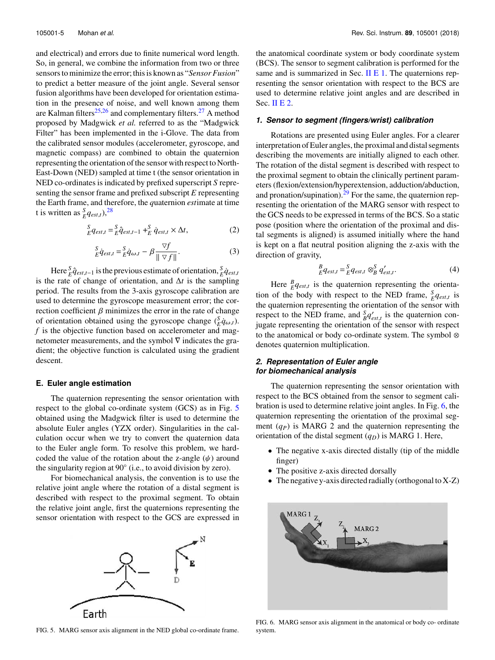and electrical) and errors due to finite numerical word length. So, in general, we combine the information from two or three sensors to minimize the error; this is known as "*Sensor Fusion*" to predict a better measure of the joint angle. Several sensor fusion algorithms have been developed for orientation estimation in the presence of noise, and well known among them are Kalman filters<sup>25,26</sup> and complementary filters.<sup>27</sup> A method proposed by Madgwick *et al.* referred to as the "Madgwick Filter" has been implemented in the i-Glove. The data from the calibrated sensor modules (accelerometer, gyroscope, and magnetic compass) are combined to obtain the quaternion representing the orientation of the sensor with respect to North-East-Down (NED) sampled at time t (the sensor orientation in NED co-ordinates is indicated by prefixed superscript *S* representing the sensor frame and prefixed subscript *E* representing the Earth frame, and therefore, the *q*uaternion *est*imate at time t is written as  ${}_{E}^{S}q_{est,t}$ ,  ${}_{e}^{28}$ 

$$
{}_{E}^{S}q_{est,t} = {}_{E}^{S}\hat{q}_{est,t-1} + {}_{E}^{S}\dot{q}_{est,t} \times \Delta t, \qquad (2)
$$

$$
\frac{S}{E}\dot{q}_{est,t} = \frac{S}{E}\dot{q}_{\omega,t} - \beta \frac{\nabla f}{\|\nabla f\|}.
$$
\n(3)

Here  ${}_{E}^{S} \hat{q}_{est,t-1}$  is the previous estimate of orientation,  ${}_{E}^{S} \dot{q}_{est,t}$ is the rate of change of orientation, and ∆*t* is the sampling period. The results from the 3-axis gyroscope calibration are used to determine the gyroscope measurement error; the correction coefficient  $\beta$  minimizes the error in the rate of change of orientation obtained using the gyroscope change  $({S \over E} \dot{q}_{\omega,t})$ . *f* is the objective function based on accelerometer and magnetometer measurements, and the symbol  $\nabla$  indicates the gradient; the objective function is calculated using the gradient descent.

#### **E. Euler angle estimation**

The quaternion representing the sensor orientation with respect to the global co-ordinate system (GCS) as in Fig. 5 obtained using the Madgwick filter is used to determine the absolute Euler angles (YZX order). Singularities in the calculation occur when we try to convert the quaternion data to the Euler angle form. To resolve this problem, we hardcoded the value of the rotation about the z-angle  $(\psi)$  around the singularity region at 90◦ (i.e., to avoid division by zero).

For biomechanical analysis, the convention is to use the relative joint angle where the rotation of a distal segment is described with respect to the proximal segment. To obtain the relative joint angle, first the quaternions representing the sensor orientation with respect to the GCS are expressed in



the anatomical coordinate system or body coordinate system (BCS). The sensor to segment calibration is performed for the same and is summarized in Sec. II E 1. The quaternions representing the sensor orientation with respect to the BCS are used to determine relative joint angles and are described in Sec. II E 2.

#### *1. Sensor to segment (fingers/wrist) calibration*

Rotations are presented using Euler angles. For a clearer interpretation of Euler angles, the proximal and distal segments describing the movements are initially aligned to each other. The rotation of the distal segment is described with respect to the proximal segment to obtain the clinically pertinent parameters (flexion/extension/hyperextension, adduction/abduction, and pronation/supination). $2^9$  For the same, the quaternion representing the orientation of the MARG sensor with respect to the GCS needs to be expressed in terms of the BCS. So a static pose (position where the orientation of the proximal and distal segments is aligned) is assumed initially where the hand is kept on a flat neutral position aligning the z-axis with the direction of gravity,

$$
{}_{E}^{B}q_{est,t} = {}_{E}^{S}q_{est,t} \otimes_{B}^{S}q'_{est,t}.
$$
 (4)

Here  ${}_{E}^{B}q_{est,t}$  is the quaternion representing the orientation of the body with respect to the NED frame,  ${}_{E}^{S}q_{est,t}$  is the quaternion representing the orientation of the sensor with respect to the NED frame, and  ${}_{B}^{S}q'_{est,t}$  is the quaternion conjugate representing the orientation of the sensor with respect to the anatomical or body co-ordinate system. The symbol ⊗ denotes quaternion multiplication.

#### *2. Representation of Euler angle for biomechanical analysis*

The quaternion representing the sensor orientation with respect to the BCS obtained from the sensor to segment calibration is used to determine relative joint angles. In Fig. 6, the quaternion representing the orientation of the proximal segment (*qP*) is MARG 2 and the quaternion representing the orientation of the distal segment  $(q_D)$  is MARG 1. Here,

- The negative x-axis directed distally (tip of the middle finger)
- The positive z-axis directed dorsally
- The negative y-axis directed radially (orthogonal to X-Z)



FIG. 6. MARG sensor axis alignment in the anatomical or body co- ordinate system.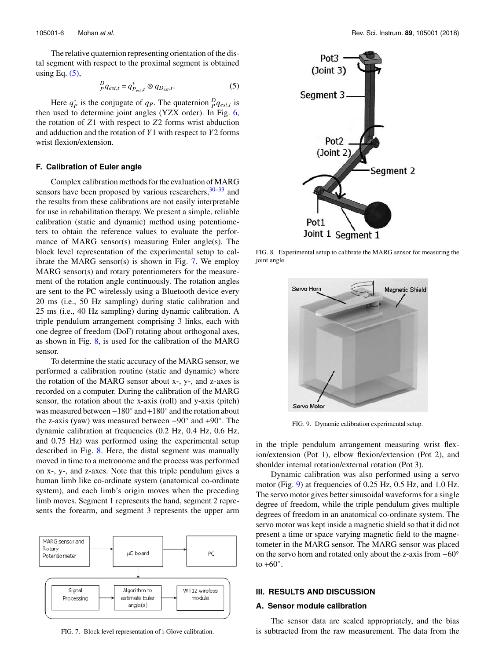The relative quaternion representing orientation of the distal segment with respect to the proximal segment is obtained using Eq.  $(5)$ ,

$$
{}_{P}^{D}q_{est,t}=q_{P_{est},t}^{*}\otimes q_{D_{est},t}.
$$
 (5)

Here  $q_P^*$  is the conjugate of  $q_P$ . The quaternion  $P_{\text{P}}q_{\text{est},t}$  is then used to determine joint angles (YZX order). In Fig. 6, the rotation of *Z*1 with respect to *Z*2 forms wrist abduction and adduction and the rotation of *Y*1 with respect to *Y*2 forms wrist flexion/extension.

#### **F. Calibration of Euler angle**

Complex calibration methods for the evaluation of MARG sensors have been proposed by various researchers,  $30-33$  and the results from these calibrations are not easily interpretable for use in rehabilitation therapy. We present a simple, reliable calibration (static and dynamic) method using potentiometers to obtain the reference values to evaluate the performance of MARG sensor(s) measuring Euler angle(s). The block level representation of the experimental setup to calibrate the MARG sensor(s) is shown in Fig.  $7$ . We employ MARG sensor(s) and rotary potentiometers for the measurement of the rotation angle continuously. The rotation angles are sent to the PC wirelessly using a Bluetooth device every 20 ms (i.e., 50 Hz sampling) during static calibration and 25 ms (i.e., 40 Hz sampling) during dynamic calibration. A triple pendulum arrangement comprising 3 links, each with one degree of freedom (DoF) rotating about orthogonal axes, as shown in Fig. 8, is used for the calibration of the MARG sensor.

To determine the static accuracy of the MARG sensor, we performed a calibration routine (static and dynamic) where the rotation of the MARG sensor about x-, y-, and z-axes is recorded on a computer. During the calibration of the MARG sensor, the rotation about the x-axis (roll) and y-axis (pitch) was measured between –180° and +180° and the rotation about the z-axis (yaw) was measured between  $-90^\circ$  and  $+90^\circ$ . The dynamic calibration at frequencies (0.2 Hz, 0.4 Hz, 0.6 Hz, and 0.75 Hz) was performed using the experimental setup described in Fig. 8. Here, the distal segment was manually moved in time to a metronome and the process was performed on x-, y-, and z-axes. Note that this triple pendulum gives a human limb like co-ordinate system (anatomical co-ordinate system), and each limb's origin moves when the preceding limb moves. Segment 1 represents the hand, segment 2 represents the forearm, and segment 3 represents the upper arm



FIG. 7. Block level representation of i-Glove calibration.



FIG. 8. Experimental setup to calibrate the MARG sensor for measuring the joint angle.



FIG. 9. Dynamic calibration experimental setup.

in the triple pendulum arrangement measuring wrist flexion/extension (Pot 1), elbow flexion/extension (Pot 2), and shoulder internal rotation/external rotation (Pot 3).

Dynamic calibration was also performed using a servo motor (Fig. 9) at frequencies of 0.25 Hz, 0.5 Hz, and 1.0 Hz. The servo motor gives better sinusoidal waveforms for a single degree of freedom, while the triple pendulum gives multiple degrees of freedom in an anatomical co-ordinate system. The servo motor was kept inside a magnetic shield so that it did not present a time or space varying magnetic field to the magnetometer in the MARG sensor. The MARG sensor was placed on the servo horn and rotated only about the z-axis from −60◦ to  $+60^\circ$ .

#### **III. RESULTS AND DISCUSSION**

#### **A. Sensor module calibration**

The sensor data are scaled appropriately, and the bias is subtracted from the raw measurement. The data from the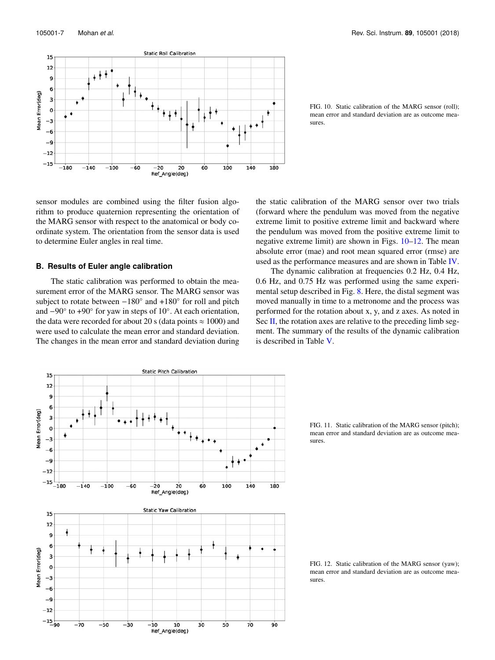

FIG. 10. Static calibration of the MARG sensor (roll); mean error and standard deviation are as outcome measures.

sensor modules are combined using the filter fusion algorithm to produce quaternion representing the orientation of the MARG sensor with respect to the anatomical or body coordinate system. The orientation from the sensor data is used to determine Euler angles in real time.

#### **B. Results of Euler angle calibration**

The static calibration was performed to obtain the measurement error of the MARG sensor. The MARG sensor was subject to rotate between  $-180^\circ$  and  $+180^\circ$  for roll and pitch and −90◦ to +90◦ for yaw in steps of 10◦ . At each orientation, the data were recorded for about 20 s (data points  $\approx 1000$ ) and were used to calculate the mean error and standard deviation. The changes in the mean error and standard deviation during the static calibration of the MARG sensor over two trials (forward where the pendulum was moved from the negative extreme limit to positive extreme limit and backward where the pendulum was moved from the positive extreme limit to negative extreme limit) are shown in Figs.  $10-12$ . The mean absolute error (mae) and root mean squared error (rmse) are used as the performance measures and are shown in Table IV.

The dynamic calibration at frequencies 0.2 Hz, 0.4 Hz, 0.6 Hz, and 0.75 Hz was performed using the same experimental setup described in Fig. 8. Here, the distal segment was moved manually in time to a metronome and the process was performed for the rotation about x, y, and z axes. As noted in Sec II, the rotation axes are relative to the preceding limb segment. The summary of the results of the dynamic calibration is described in Table V.



FIG. 11. Static calibration of the MARG sensor (pitch); mean error and standard deviation are as outcome measures.

FIG. 12. Static calibration of the MARG sensor (yaw); mean error and standard deviation are as outcome measures.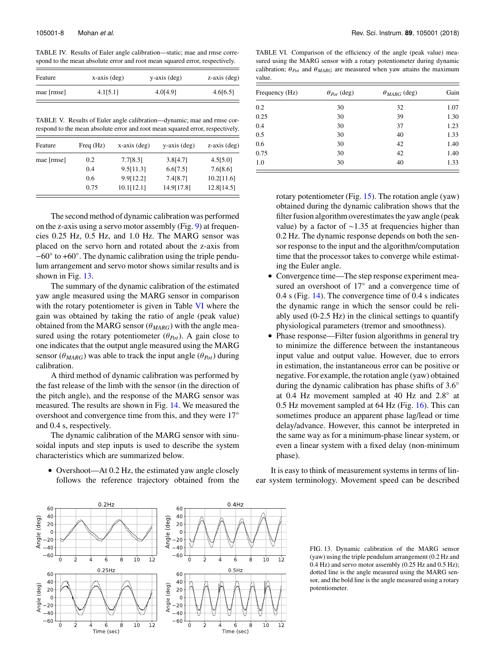TABLE IV. Results of Euler angle calibration—static; mae and rmse correspond to the mean absolute error and root mean squared error, respectively.

| Feature    | $x$ -axis $(\text{deg})$ | $y-axis$ (deg) | $z$ -axis $deg)$ |
|------------|--------------------------|----------------|------------------|
| mae [rmse] | 4.1[5.1]                 | 4.0[4.9]       | 4.6[6.5]         |

TABLE V. Results of Euler angle calibration—dynamic; mae and rmse correspond to the mean absolute error and root mean squared error, respectively.

| Feature    | Freq $(Hz)$ | $x$ -axis $(\text{deg})$ | y-axis (deg) | $z$ -axis $deg)$ |
|------------|-------------|--------------------------|--------------|------------------|
| mae [rmse] | 0.2         | 7.7[8.3]                 | 3.8[4.7]     | 4.5[5.0]         |
|            | 0.4         | 9.5[11.3]                | 6.6[7.5]     | 7.6[8.6]         |
|            | 0.6         | 9.9[12.2]                | 7.4[8.7]     | 10.2[11.6]       |
|            | 0.75        | 10.1[12.1]               | 14.9[17.8]   | 12.8[14.5]       |

The second method of dynamic calibration was performed on the z-axis using a servo motor assembly (Fig. 9) at frequencies 0.25 Hz, 0.5 Hz, and 1.0 Hz. The MARG sensor was placed on the servo horn and rotated about the z-axis from −60◦ to +60◦ . The dynamic calibration using the triple pendulum arrangement and servo motor shows similar results and is shown in Fig. 13.

The summary of the dynamic calibration of the estimated yaw angle measured using the MARG sensor in comparison with the rotary potentiometer is given in Table VI where the gain was obtained by taking the ratio of angle (peak value) obtained from the MARG sensor (θ*MARG*) with the angle measured using the rotary potentiometer  $(\theta_{Pot})$ . A gain close to one indicates that the output angle measured using the MARG sensor  $(\theta_{MARG})$  was able to track the input angle  $(\theta_{Pot})$  during calibration.

A third method of dynamic calibration was performed by the fast release of the limb with the sensor (in the direction of the pitch angle), and the response of the MARG sensor was measured. The results are shown in Fig. 14. We measured the overshoot and convergence time from this, and they were 17◦ and 0.4 s, respectively.

The dynamic calibration of the MARG sensor with sinusoidal inputs and step inputs is used to describe the system characteristics which are summarized below.

• Overshoot—At 0.2 Hz, the estimated yaw angle closely follows the reference trajectory obtained from the

TABLE VI. Comparison of the efficiency of the angle (peak value) measured using the MARG sensor with a rotary potentiometer during dynamic calibration;  $\theta_{Pot}$  and  $\theta_{MARG}$  are measured when yaw attains the maximum value.

| Frequency (Hz) | $\theta_{Pot}$ (deg) | $\theta_{MARG}$ (deg) | Gain |
|----------------|----------------------|-----------------------|------|
| 0.2            | 30                   | 32                    | 1.07 |
| 0.25           | 30                   | 39                    | 1.30 |
| 0.4            | 30                   | 37                    | 1.23 |
| 0.5            | 30                   | 40                    | 1.33 |
| 0.6            | 30                   | 42                    | 1.40 |
| 0.75           | 30                   | 42                    | 1.40 |
| 1.0            | 30                   | 40                    | 1.33 |

rotary potentiometer (Fig.  $15$ ). The rotation angle (yaw) obtained during the dynamic calibration shows that the filter fusion algorithm overestimates the yaw angle (peak value) by a factor of ∼1.35 at frequencies higher than 0.2 Hz. The dynamic response depends on both the sensor response to the input and the algorithm/computation time that the processor takes to converge while estimating the Euler angle.

- Convergence time—The step response experiment measured an overshoot of 17° and a convergence time of 0.4 s (Fig. 14). The convergence time of 0.4 s indicates the dynamic range in which the sensor could be reliably used (0-2.5 Hz) in the clinical settings to quantify physiological parameters (tremor and smoothness).
- Phase response—Filter fusion algorithms in general try to minimize the difference between the instantaneous input value and output value. However, due to errors in estimation, the instantaneous error can be positive or negative. For example, the rotation angle (yaw) obtained during the dynamic calibration has phase shifts of 3.6◦ at 0.4 Hz movement sampled at 40 Hz and 2.8◦ at 0.5 Hz movement sampled at 64 Hz (Fig. 16). This can sometimes produce an apparent phase lag/lead or time delay/advance. However, this cannot be interpreted in the same way as for a minimum-phase linear system, or even a linear system with a fixed delay (non-minimum phase).

It is easy to think of measurement systems in terms of linear system terminology. Movement speed can be described



FIG. 13. Dynamic calibration of the MARG sensor (yaw) using the triple pendulum arrangement (0.2 Hz and 0.4 Hz) and servo motor assembly (0.25 Hz and 0.5 Hz); dotted line is the angle measured using the MARG sensor, and the bold line is the angle measured using a rotary potentiometer.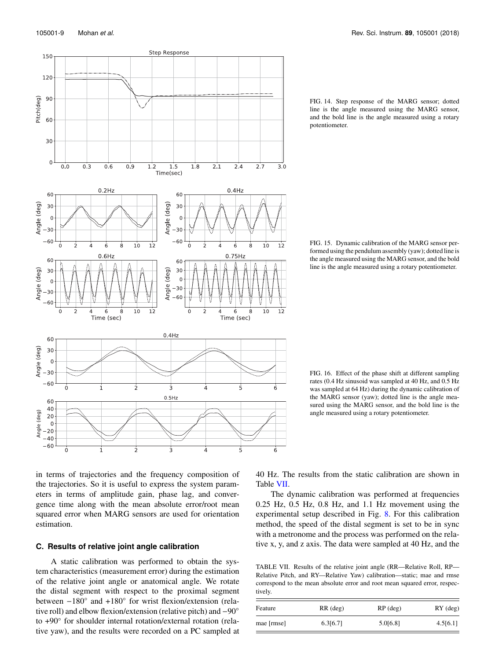

FIG. 14. Step response of the MARG sensor; dotted line is the angle measured using the MARG sensor, and the bold line is the angle measured using a rotary potentiometer.

FIG. 15. Dynamic calibration of the MARG sensor performed using the pendulum assembly (yaw); dotted line is the angle measured using the MARG sensor, and the bold line is the angle measured using a rotary potentiometer.

FIG. 16. Effect of the phase shift at different sampling rates (0.4 Hz sinusoid was sampled at 40 Hz, and 0.5 Hz was sampled at 64 Hz) during the dynamic calibration of the MARG sensor (yaw); dotted line is the angle measured using the MARG sensor, and the bold line is the angle measured using a rotary potentiometer.

in terms of trajectories and the frequency composition of the trajectories. So it is useful to express the system parameters in terms of amplitude gain, phase lag, and convergence time along with the mean absolute error/root mean squared error when MARG sensors are used for orientation estimation.

#### **C. Results of relative joint angle calibration**

A static calibration was performed to obtain the system characteristics (measurement error) during the estimation of the relative joint angle or anatomical angle. We rotate the distal segment with respect to the proximal segment between  $-180°$  and  $+180°$  for wrist flexion/extension (relative roll) and elbow flexion/extension (relative pitch) and −90◦ to +90◦ for shoulder internal rotation/external rotation (relative yaw), and the results were recorded on a PC sampled at

40 Hz. The results from the static calibration are shown in Table VII.

The dynamic calibration was performed at frequencies 0.25 Hz, 0.5 Hz, 0.8 Hz, and 1.1 Hz movement using the experimental setup described in Fig. 8. For this calibration method, the speed of the distal segment is set to be in sync with a metronome and the process was performed on the relative x, y, and z axis. The data were sampled at 40 Hz, and the

TABLE VII. Results of the relative joint angle (RR—Relative Roll, RP— Relative Pitch, and RY—Relative Yaw) calibration—static; mae and rmse correspond to the mean absolute error and root mean squared error, respectively.

| Feature    | $RR$ (deg) | $RP$ (deg) | $RY$ (deg) |
|------------|------------|------------|------------|
| mae [rmse] | 6.3[6.7]   | 5.0[6.8]   | 4.5[6.1]   |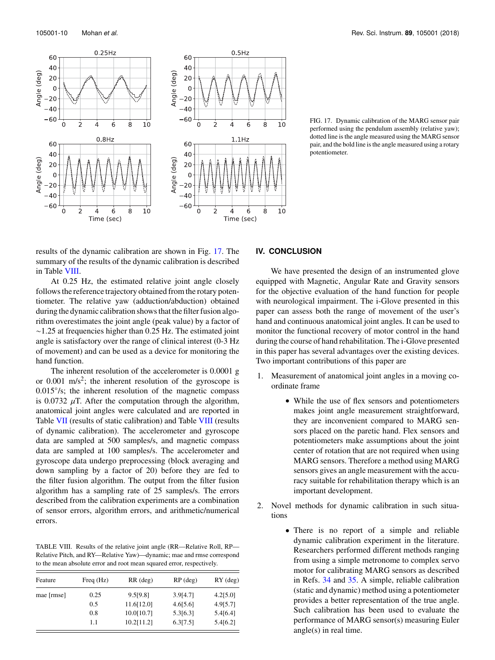

FIG. 17. Dynamic calibration of the MARG sensor pair performed using the pendulum assembly (relative yaw); dotted line is the angle measured using the MARG sensor pair, and the bold line is the angle measured using a rotary potentiometer.

results of the dynamic calibration are shown in Fig. 17. The summary of the results of the dynamic calibration is described in Table VIII.

At 0.25 Hz, the estimated relative joint angle closely follows the reference trajectory obtained from the rotary potentiometer. The relative yaw (adduction/abduction) obtained during the dynamic calibration shows that the filter fusion algorithm overestimates the joint angle (peak value) by a factor of ∼1.25 at frequencies higher than 0.25 Hz. The estimated joint angle is satisfactory over the range of clinical interest (0-3 Hz of movement) and can be used as a device for monitoring the hand function.

The inherent resolution of the accelerometer is 0.0001 g or 0.001 m/s<sup>2</sup>; the inherent resolution of the gyroscope is 0.015°/s; the inherent resolution of the magnetic compass is 0.0732  $\mu$ T. After the computation through the algorithm, anatomical joint angles were calculated and are reported in Table VII (results of static calibration) and Table VIII (results of dynamic calibration). The accelerometer and gyroscope data are sampled at 500 samples/s, and magnetic compass data are sampled at 100 samples/s. The accelerometer and gyroscope data undergo preprocessing (block averaging and down sampling by a factor of 20) before they are fed to the filter fusion algorithm. The output from the filter fusion algorithm has a sampling rate of 25 samples/s. The errors described from the calibration experiments are a combination of sensor errors, algorithm errors, and arithmetic/numerical errors.

TABLE VIII. Results of the relative joint angle (RR—Relative Roll, RP— Relative Pitch, and RY—Relative Yaw)—dynamic; mae and rmse correspond to the mean absolute error and root mean squared error, respectively.

| Feature    | Freq $(Hz)$ | $RR$ (deg) | $RP$ (deg) | $RY$ (deg) |
|------------|-------------|------------|------------|------------|
| mae [rmse] | 0.25        | 9.5[9.8]   | 3.9[4.7]   | 4.2[5.0]   |
|            | 0.5         | 11.6[12.0] | 4.6[5.6]   | 4.9[5.7]   |
|            | 0.8         | 10.0[10.7] | 5.3[6.3]   | 5.4[6.4]   |
|            | 1.1         | 10.2[11.2] | 6.3[7.5]   | 5.4[6.2]   |

#### **IV. CONCLUSION**

We have presented the design of an instrumented glove equipped with Magnetic, Angular Rate and Gravity sensors for the objective evaluation of the hand function for people with neurological impairment. The i-Glove presented in this paper can assess both the range of movement of the user's hand and continuous anatomical joint angles. It can be used to monitor the functional recovery of motor control in the hand during the course of hand rehabilitation. The i-Glove presented in this paper has several advantages over the existing devices. Two important contributions of this paper are

- 1. Measurement of anatomical joint angles in a moving coordinate frame
	- While the use of flex sensors and potentiometers makes joint angle measurement straightforward, they are inconvenient compared to MARG sensors placed on the paretic hand. Flex sensors and potentiometers make assumptions about the joint center of rotation that are not required when using MARG sensors. Therefore a method using MARG sensors gives an angle measurement with the accuracy suitable for rehabilitation therapy which is an important development.
- 2. Novel methods for dynamic calibration in such situations
	- There is no report of a simple and reliable dynamic calibration experiment in the literature. Researchers performed different methods ranging from using a simple metronome to complex servo motor for calibrating MARG sensors as described in Refs. 34 and 35. A simple, reliable calibration (static and dynamic) method using a potentiometer provides a better representation of the true angle. Such calibration has been used to evaluate the performance of MARG sensor(s) measuring Euler angle(s) in real time.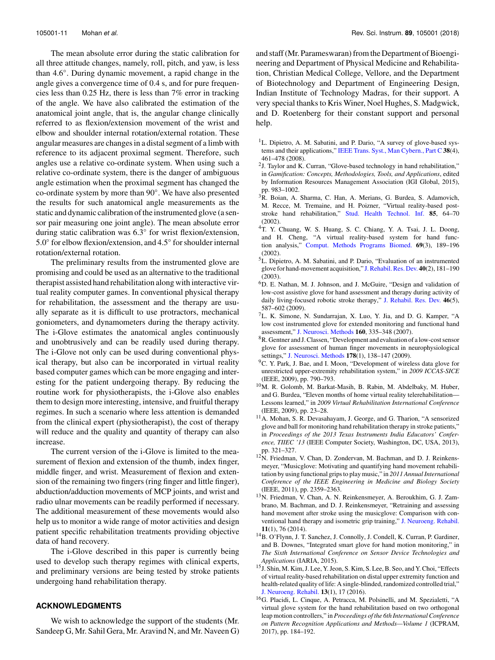The mean absolute error during the static calibration for all three attitude changes, namely, roll, pitch, and yaw, is less than 4.6◦ . During dynamic movement, a rapid change in the angle gives a convergence time of 0.4 s, and for pure frequencies less than 0.25 Hz, there is less than 7% error in tracking of the angle. We have also calibrated the estimation of the anatomical joint angle, that is, the angular change clinically referred to as flexion/extension movement of the wrist and elbow and shoulder internal rotation/external rotation. These angular measures are changes in a distal segment of a limb with reference to its adjacent proximal segment. Therefore, such angles use a relative co-ordinate system. When using such a relative co-ordinate system, there is the danger of ambiguous angle estimation when the proximal segment has changed the co-ordinate system by more than 90◦ . We have also presented the results for such anatomical angle measurements as the static and dynamic calibration of the instrumented glove (a sensor pair measuring one joint angle). The mean absolute error during static calibration was 6.3◦ for wrist flexion/extension, 5.0° for elbow flexion/extension, and 4.5° for shoulder internal rotation/external rotation.

The preliminary results from the instrumented glove are promising and could be used as an alternative to the traditional therapist assisted hand rehabilitation along with interactive virtual reality computer games. In conventional physical therapy for rehabilitation, the assessment and the therapy are usually separate as it is difficult to use protractors, mechanical goniometers, and dynamometers during the therapy activity. The i-Glove estimates the anatomical angles continuously and unobtrusively and can be readily used during therapy. The i-Glove not only can be used during conventional physical therapy, but also can be incorporated in virtual reality based computer games which can be more engaging and interesting for the patient undergoing therapy. By reducing the routine work for physiotherapists, the i-Glove also enables them to design more interesting, intensive, and fruitful therapy regimes. In such a scenario where less attention is demanded from the clinical expert (physiotherapist), the cost of therapy will reduce and the quality and quantity of therapy can also increase.

The current version of the i-Glove is limited to the measurement of flexion and extension of the thumb, index finger, middle finger, and wrist. Measurement of flexion and extension of the remaining two fingers (ring finger and little finger), abduction/adduction movements of MCP joints, and wrist and radio ulnar movements can be readily performed if necessary. The additional measurement of these movements would also help us to monitor a wide range of motor activities and design patient specific rehabilitation treatments providing objective data of hand recovery.

The i-Glove described in this paper is currently being used to develop such therapy regimes with clinical experts, and preliminary versions are being tested by stroke patients undergoing hand rehabilitation therapy.

#### **ACKNOWLEDGMENTS**

We wish to acknowledge the support of the students (Mr. Sandeep G, Mr. Sahil Gera, Mr. Aravind N, and Mr. Naveen G) and staff (Mr. Parameswaran) from the Department of Bioengineering and Department of Physical Medicine and Rehabilitation, Christian Medical College, Vellore, and the Department of Biotechnology and Department of Engineering Design, Indian Institute of Technology Madras, for their support. A very special thanks to Kris Winer, Noel Hughes, S. Madgwick, and D. Roetenberg for their constant support and personal help.

- <sup>1</sup>L. Dipietro, A. M. Sabatini, and P. Dario, "A survey of glove-based systems and their applications," IEEE Trans. Syst., Man Cybern., Part C **38**(4), 461–478 (2008).
- $2$ J. Taylor and K. Curran, "Glove-based technology in hand rehabilitation," in *Gamification: Concepts, Methodologies, Tools, and Applications*, edited by Information Resources Management Association (IGI Global, 2015), pp. 983–1002.
- $3R^1$ . Boian, A. Sharma, C. Han, A. Merians, G. Burdea, S. Adamovich, M. Recce, M. Tremaine, and H. Poizner, "Virtual reality-based poststroke hand rehabilitation," Stud. Health Technol. Inf. **85**, 64–70 (2002).
- <sup>4</sup>T. Y. Chuang, W. S. Huang, S. C. Chiang, Y. A. Tsai, J. L. Doong, and H. Cheng, "A virtual reality-based system for hand function analysis," Comput. Methods Programs Biomed. **69**(3), 189–196 (2002).
- <sup>5</sup>L. Dipietro, A. M. Sabatini, and P. Dario, "Evaluation of an instrumented glove for hand-movement acquisition," J. Rehabil. Res. Dev. **40**(2), 181–190 (2003).
- <sup>6</sup>D. E. Nathan, M. J. Johnson, and J. McGuire, "Design and validation of low-cost assistive glove for hand assessment and therapy during activity of daily living-focused robotic stroke therapy," J. Rehabil. Res. Dev. **46**(5), 587–602 (2009).
- <sup>7</sup>L. K. Simone, N. Sundarrajan, X. Luo, Y. Jia, and D. G. Kamper, "A low cost instrumented glove for extended monitoring and functional hand assessment," J. Neurosci. Methods **160**, 335–348 (2007).
- <sup>8</sup>R. Gentner and J. Classen, "Development and evaluation of a low-cost sensor glove for assessment of human finger movements in neurophysiological settings," J. Neurosci. Methods **178**(1), 138–147 (2009).
- <sup>9</sup>C. Y. Park, J. Bae, and I. Moon, "Development of wireless data glove for unrestricted upper-extremity rehabilitation system," in *2009 ICCAS-SICE* (IEEE, 2009), pp. 790–793.
- <sup>10</sup>M. R. Golomb, M. Barkat-Masih, B. Rabin, M. Abdelbaky, M. Huber, and G. Burdea, "Eleven months of home virtual reality telerehabilitation— Lessons learned," in *2009 Virtual Rehabilitation International Conference* (IEEE, 2009), pp. 23–28.
- <sup>11</sup>A. Mohan, S. R. Devasahayam, J. George, and G. Tharion, "A sensorized glove and ball for monitoring hand rehabilitation therapy in stroke patients," in *Proceedings of the 2013 Texas Instruments India Educators' Conference, TIIEC '13* (IEEE Computer Society, Washington, DC, USA, 2013), pp. 321–327.
- <sup>12</sup>N. Friedman, V. Chan, D. Zondervan, M. Bachman, and D. J. Reinkensmeyer, "Musicglove: Motivating and quantifying hand movement rehabilitation by using functional grips to play music," in *2011 Annual International Conference of the IEEE Engineering in Medicine and Biology Society* (IEEE, 2011), pp. 2359–2363.
- <sup>13</sup>N. Friedman, V. Chan, A. N. Reinkensmeyer, A. Beroukhim, G. J. Zambrano, M. Bachman, and D. J. Reinkensmeyer, "Retraining and assessing hand movement after stroke using the musicglove: Comparison with conventional hand therapy and isometric grip training," J. Neuroeng. Rehabil. **11**(1), 76 (2014).
- <sup>14</sup>B. O'Flynn, J. T. Sanchez, J. Connolly, J. Condell, K. Curran, P. Gardiner, and B. Downes, "Integrated smart glove for hand motion monitoring," in *The Sixth International Conference on Sensor Device Technologies and Applications* (IARIA, 2015).
- <sup>15</sup>J. Shin, M. Kim, J. Lee, Y. Jeon, S. Kim, S. Lee, B. Seo, and Y. Choi, "Effects of virtual reality-based rehabilitation on distal upper extremity function and health-related quality of life: A single-blinded, randomized controlled trial," J. Neuroeng. Rehabil. **13**(1), 17 (2016).
- <sup>16</sup>G. Placidi, L. Cinque, A. Petracca, M. Polsinelli, and M. Spezialetti, "A virtual glove system for the hand rehabilitation based on two orthogonal leap motion controllers," in *Proceedings of the 6th International Conference on Pattern Recognition Applications and Methods—Volume 1* (ICPRAM, 2017), pp. 184–192.